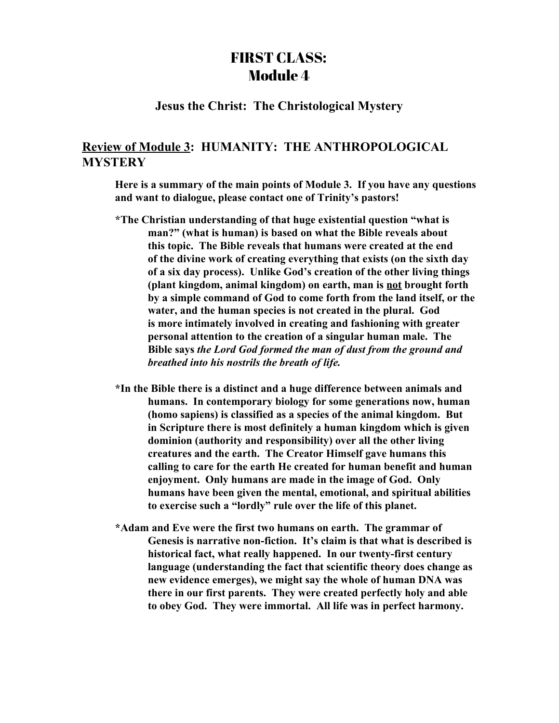## FIRST CLASS: Module 4

## **Jesus the Christ: The Christological Mystery**

## **Review of Module 3: HUMANITY: THE ANTHROPOLOGICAL MYSTERY**

**Here is a summary of the main points of Module 3. If you have any questions and want to dialogue, please contact one of Trinity's pastors!**

- **\*The Christian understanding of that huge existential question "what is man?" (what is human) is based on what the Bible reveals about this topic. The Bible reveals that humans were created at the end of the divine work of creating everything that exists (on the sixth day of a six day process). Unlike God's creation of the other living things (plant kingdom, animal kingdom) on earth, man is not brought forth by a simple command of God to come forth from the land itself, or the water, and the human species is not created in the plural. God is more intimately involved in creating and fashioning with greater personal attention to the creation of a singular human male. The Bible says** *the Lord God formed the man of dust from the ground and breathed into his nostrils the breath of life.*
- **\*In the Bible there is a distinct and a huge difference between animals and humans. In contemporary biology for some generations now, human (homo sapiens) is classified as a species of the animal kingdom. But in Scripture there is most definitely a human kingdom which is given dominion (authority and responsibility) over all the other living creatures and the earth. The Creator Himself gave humans this calling to care for the earth He created for human benefit and human enjoyment. Only humans are made in the image of God. Only humans have been given the mental, emotional, and spiritual abilities to exercise such a "lordly" rule over the life of this planet.**
- **\*Adam and Eve were the first two humans on earth. The grammar of Genesis is narrative non-fiction. It's claim is that what is described is historical fact, what really happened. In our twenty-first century language (understanding the fact that scientific theory does change as new evidence emerges), we might say the whole of human DNA was there in our first parents. They were created perfectly holy and able to obey God. They were immortal. All life was in perfect harmony.**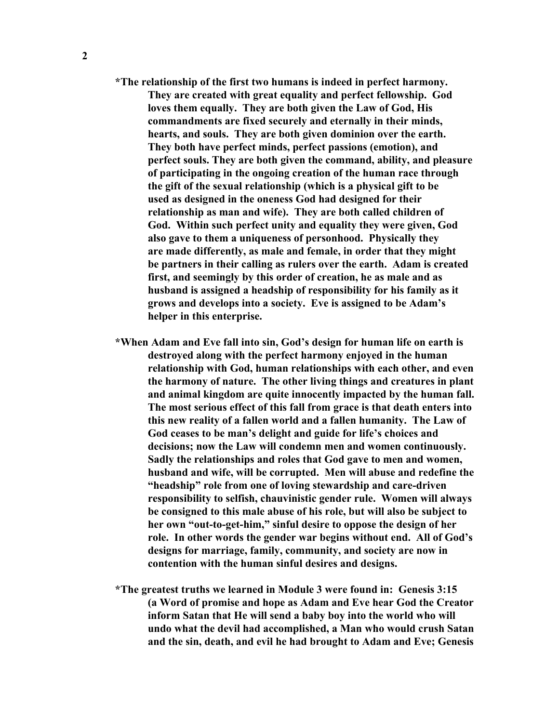- **\*The relationship of the first two humans is indeed in perfect harmony. They are created with great equality and perfect fellowship. God loves them equally. They are both given the Law of God, His commandments are fixed securely and eternally in their minds, hearts, and souls. They are both given dominion over the earth. They both have perfect minds, perfect passions (emotion), and perfect souls. They are both given the command, ability, and pleasure of participating in the ongoing creation of the human race through the gift of the sexual relationship (which is a physical gift to be used as designed in the oneness God had designed for their relationship as man and wife). They are both called children of God. Within such perfect unity and equality they were given, God also gave to them a uniqueness of personhood. Physically they are made differently, as male and female, in order that they might be partners in their calling as rulers over the earth. Adam is created first, and seemingly by this order of creation, he as male and as husband is assigned a headship of responsibility for his family as it grows and develops into a society. Eve is assigned to be Adam's helper in this enterprise.**
- **\*When Adam and Eve fall into sin, God's design for human life on earth is destroyed along with the perfect harmony enjoyed in the human relationship with God, human relationships with each other, and even the harmony of nature. The other living things and creatures in plant and animal kingdom are quite innocently impacted by the human fall. The most serious effect of this fall from grace is that death enters into this new reality of a fallen world and a fallen humanity. The Law of God ceases to be man's delight and guide for life's choices and decisions; now the Law will condemn men and women continuously. Sadly the relationships and roles that God gave to men and women, husband and wife, will be corrupted. Men will abuse and redefine the "headship" role from one of loving stewardship and care-driven responsibility to selfish, chauvinistic gender rule. Women will always be consigned to this male abuse of his role, but will also be subject to her own "out-to-get-him," sinful desire to oppose the design of her role. In other words the gender war begins without end. All of God's designs for marriage, family, community, and society are now in contention with the human sinful desires and designs.**
- **\*The greatest truths we learned in Module 3 were found in: Genesis 3:15 (a Word of promise and hope as Adam and Eve hear God the Creator inform Satan that He will send a baby boy into the world who will undo what the devil had accomplished, a Man who would crush Satan and the sin, death, and evil he had brought to Adam and Eve; Genesis**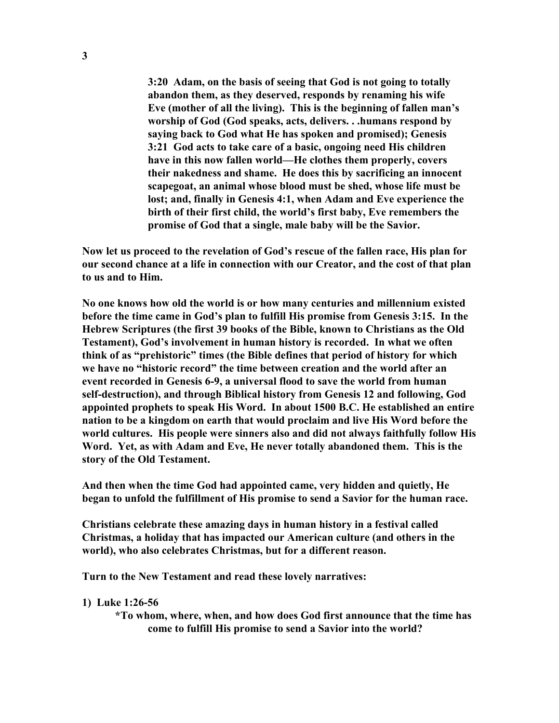**3:20 Adam, on the basis of seeing that God is not going to totally abandon them, as they deserved, responds by renaming his wife Eve (mother of all the living). This is the beginning of fallen man's worship of God (God speaks, acts, delivers. . .humans respond by saying back to God what He has spoken and promised); Genesis 3:21 God acts to take care of a basic, ongoing need His children have in this now fallen world—He clothes them properly, covers their nakedness and shame. He does this by sacrificing an innocent scapegoat, an animal whose blood must be shed, whose life must be lost; and, finally in Genesis 4:1, when Adam and Eve experience the birth of their first child, the world's first baby, Eve remembers the promise of God that a single, male baby will be the Savior.**

**Now let us proceed to the revelation of God's rescue of the fallen race, His plan for our second chance at a life in connection with our Creator, and the cost of that plan to us and to Him.**

**No one knows how old the world is or how many centuries and millennium existed before the time came in God's plan to fulfill His promise from Genesis 3:15. In the Hebrew Scriptures (the first 39 books of the Bible, known to Christians as the Old Testament), God's involvement in human history is recorded. In what we often think of as "prehistoric" times (the Bible defines that period of history for which we have no "historic record" the time between creation and the world after an event recorded in Genesis 6-9, a universal flood to save the world from human self-destruction), and through Biblical history from Genesis 12 and following, God appointed prophets to speak His Word. In about 1500 B.C. He established an entire nation to be a kingdom on earth that would proclaim and live His Word before the world cultures. His people were sinners also and did not always faithfully follow His Word. Yet, as with Adam and Eve, He never totally abandoned them. This is the story of the Old Testament.**

**And then when the time God had appointed came, very hidden and quietly, He began to unfold the fulfillment of His promise to send a Savior for the human race.**

**Christians celebrate these amazing days in human history in a festival called Christmas, a holiday that has impacted our American culture (and others in the world), who also celebrates Christmas, but for a different reason.**

**Turn to the New Testament and read these lovely narratives:**

**1) Luke 1:26-56**

**\*To whom, where, when, and how does God first announce that the time has come to fulfill His promise to send a Savior into the world?**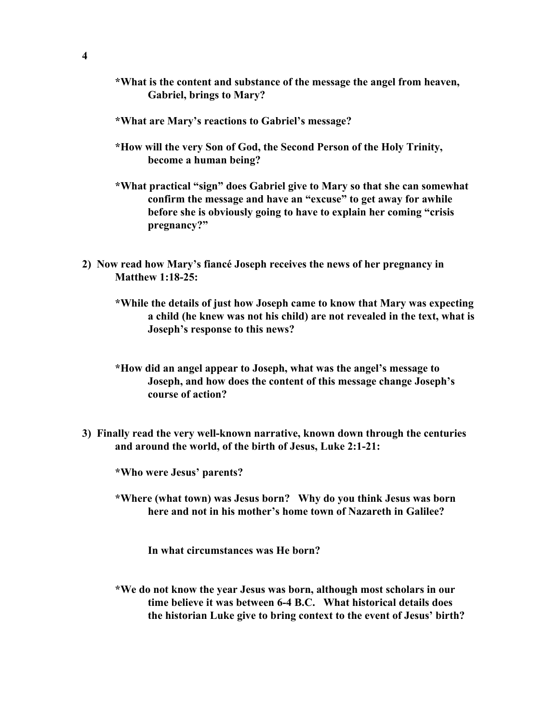- **\*What is the content and substance of the message the angel from heaven, Gabriel, brings to Mary?**
- **\*What are Mary's reactions to Gabriel's message?**
- **\*How will the very Son of God, the Second Person of the Holy Trinity, become a human being?**
- **\*What practical "sign" does Gabriel give to Mary so that she can somewhat confirm the message and have an "excuse" to get away for awhile before she is obviously going to have to explain her coming "crisis pregnancy?"**
- **2) Now read how Mary's fiancé Joseph receives the news of her pregnancy in Matthew 1:18-25:**
	- **\*While the details of just how Joseph came to know that Mary was expecting a child (he knew was not his child) are not revealed in the text, what is Joseph's response to this news?**
	- **\*How did an angel appear to Joseph, what was the angel's message to Joseph, and how does the content of this message change Joseph's course of action?**
- **3) Finally read the very well-known narrative, known down through the centuries and around the world, of the birth of Jesus, Luke 2:1-21:**
	- **\*Who were Jesus' parents?**
	- **\*Where (what town) was Jesus born? Why do you think Jesus was born here and not in his mother's home town of Nazareth in Galilee?**

**In what circumstances was He born?**

**\*We do not know the year Jesus was born, although most scholars in our time believe it was between 6-4 B.C. What historical details does the historian Luke give to bring context to the event of Jesus' birth?**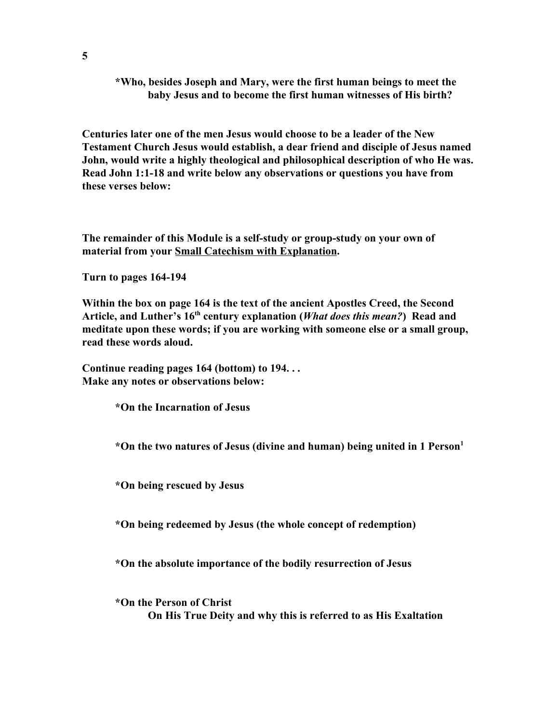**\*Who, besides Joseph and Mary, were the first human beings to meet the baby Jesus and to become the first human witnesses of His birth?**

**Centuries later one of the men Jesus would choose to be a leader of the New Testament Church Jesus would establish, a dear friend and disciple of Jesus named John, would write a highly theological and philosophical description of who He was. Read John 1:1-18 and write below any observations or questions you have from these verses below:**

**The remainder of this Module is a self-study or group-study on your own of material from your Small Catechism with Explanation.**

**Turn to pages 164-194**

**Within the box on page 164 is the text of the ancient Apostles Creed, the Second Article, and Luther's 16 th century explanation (***What does this mean?***) Read and meditate upon these words; if you are working with someone else or a small group, read these words aloud.**

**Continue reading pages 164 (bottom) to 194. . . Make any notes or observations below:**

**\*On the Incarnation of Jesus**

**\*On the two natures of Jesus (divine and human) being united in 1 Person 1**

**\*On being rescued by Jesus**

**\*On being redeemed by Jesus (the whole concept of redemption)**

**\*On the absolute importance of the bodily resurrection of Jesus**

**\*On the Person of Christ On His True Deity and why this is referred to as His Exaltation**